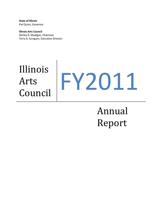**State of Illinois**  Pat Quinn, Governor

**Illinois Arts Council**  Shirley R. Madigan, Chairman Terry A. Scrogum, Executive Director

# Illinois Arts Arts<br>Council FY2011

Annual Report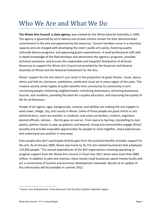# Who We Are and What We Do

**The Illinois Arts Council, a state agency,** was created by the Illinois General Assembly in 1965. The agency is governed by up to twenty-one private citizens chosen for their demonstrated commitment to the arts and appointed by the Governor. Council members serve in a voluntary capacity and are charged with developing the state's public arts policy, fostering quality culturally diverse programs, and approving grants expenditures. A small professional staff with in-depth knowledge of the field develops and administers the agency's programs, provides technical assistance, and ensures the responsible and impactful distribution of all funds. Resources to support the Illinois Arts Council are provided by the Governor and General Assembly of Illinois and the National Endowment for the Arts.

Illinois' support for the arts doesn't just result in the production of great theater, music, dance, ethnic and folk art, literature, exhibitions, media and visual art in every region of the state. This creative activity sends ripples of public benefits from community to community in turn: connecting people; enlivening neighborhoods; revitalizing downtowns; attracting businesses, tourism, and residents; providing the basis for a quality education; and improving the quality of life for all Illinoisans.

People of all regions, ages, backgrounds, cultures, and abilities are making the arts happen in every town, village, city, and county in Illinois. Some of these people are great artists or arts administrators; some are teachers or students; and some are bankers, realtors, engineers, elected officials, retirees -- the list goes on and on. From opera to hip-hop, storytelling to slam poetry, pottery classes to pop-up galleries and beyond, strong arts communities engage Illinois' plurality and provide invaluable opportunities for people to come together, share experiences, and understand one another in new ways.

Even people who don't participate directly gain from the practical benefits of public support for the arts. As of January 2009, Illinois was home to 25,71*5* arts-related businesses that employed 124,493 people.<sup>1</sup> The annual expenditures of the 654 organizations receiving operating or program support from the Illinois Arts Council in Fiscal Year 2011 alone were more than \$885 million. In addition to jobs and revenue, these mostly small businesses spend money locally and are a cornerstone of tourism and economic development statewide. Results of an update of this information will be available in summer 2012.

 $\overline{\phantom{a}}$ 

<sup>1</sup> Source: Dun & Bradstreet. From American's for the Arts *Creative Industries* report.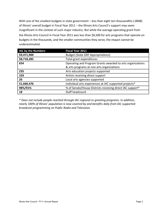With one of the smallest budgets in state government – less than eight ten-thousandths (.0008) of Illinois' overall budget in Fiscal Year 2011 – the Illinois Arts Council's support may seem insignificant in the context of such major industry. But while the average operating grant from the Illinois Arts Council in Fiscal Year 2011 was less than \$6,500 for arts programs that operate on budgets in the thousands, and the smaller communities they serve, the impact cannot be underestimated.

| <b>IAC by the Numbers</b> | <b>Fiscal Year 2011</b>                                    |  |
|---------------------------|------------------------------------------------------------|--|
| \$9,471,900               | <b>Budget (State GRF Appropriations)</b>                   |  |
| \$8,718,285               | Total grant expenditures                                   |  |
| 654                       | Operating and Program Grants awarded to arts organizations |  |
|                           | & arts programs at non-arts organizations                  |  |
| 235                       | Arts education projects supported                          |  |
| 103                       | Artists receiving direct support                           |  |
| 26                        | Local arts agencies supported                              |  |
| 51,660,476                | Individual arts experiences at IAC supported projects*     |  |
| 98%/91%                   | % of Senate/House Districts receiving direct IAC support*  |  |
| 18                        | Staff headcount                                            |  |

*\* Does not include people reached through IAC regional re-granting programs. In addition, nearly 100% of Illinois' population is now covered by and benefits daily from IAC supported broadcast programming on Public Radio and Television.*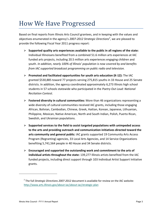# How We Have Progressed

Based on final reports from Illinois Arts Council grantees, and in keeping with the values and objectives enumerated in the agency's *2007-2012 Strategic Directions<sup>2</sup>* , we are pleased to provide the following Fiscal Year 2011 progress report:

- **Supported quality arts experiences available to the public in all regions of the state:** Individual Illinoisans benefited from a combined 51.6 million arts experiences at IAC funded arts projects, including 20.5 million arts experiences engaging children and youth. *In addition, nearly 100% of Illinois' population is now covered by and benefits from IAC supported broadcast programming on public radio and television.*
- **Promoted and facilitated opportunities for youth arts education (K-12):** The IAC granted \$530,885 toward 77 projects serving 275,815 youths in 33 House and 25 Senate districts. In addition, the agency coordinated approximately 6,273 Illinois high school students in 57 schools statewide who participated in the *Poetry Out Loud: National Recitation Contest*.
- **Fostered diversity in cultural communities:** More than 46 organizations representing a wide diversity of cultural communities received IAC grants, including those engaging African, Bolivian, Cambodian, Chinese, Greek, Haitian, Korean, Japanese, Lithuanian, Philippine, Mexican, Native American, North and South Indian, Polish, Puerto Rican, Swedish, and Ukrainian populations.
- **Supported services to the field to assist targeted populations with unimpeded access to the arts and providing outreach and communication initiatives directed toward the arts community and general public:** IAC grants supported 19 Community Arts Access Program (Regranting) agencies, 33 Local Arts Agencies, and 14 Service Organizations benefiting 5,741,564 people in 40 House and 34 Senate districts.
- **Encouraged and supported the outstanding work and commitment to the arts of individual artists throughout the state:** 139,277 Illinois artists benefited from the IAC funded projects, including direct support through 103 Individual Artist Support Initiative grants.

 $\overline{a}$ 

<sup>2</sup> The full *Strategic Directions 2007-2012* document is available for review on the IAC website: <http://www.arts.illinois.gov/about-iac/about-iac/strategic-plan>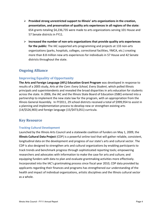- **Provided strong unrestricted support to Illinois' arts organizations in the creation, presentation, and preservation of quality arts experiences in all regions of the state:** 654 grants totaling \$4,236,735 were made to arts organizations serving 101 House and 57 Senate districts in FY11.
- **Increased the number of non-arts organizations that provide quality arts experiences for the public:** The IAC supported arts programming and projects at 133 non-arts organizations (parks, hospitals, colleges, correctional facilities, YMCA, etc.) creating more than 8.8 million new arts experiences for individuals in 57 House and 42 Senate districts throughout the state.

### **Ongoing Alliance**

### **Improving Equality of Opportunity**

**The Arts and Foreign Language (AFL) Education Grant Program** was developed in response to results of a 2005 study, *Arts at the Core: Every School, Every Student*, which polled Illinois principals and superintendents and revealed the broad disparities in arts education for students across the state. In 2006, the IAC and the Illinois State Board of Education (ISBE) entered into a partnership to implement the new state law for the program, with an appropriation from the Illinois General Assembly. In FY2011, 29 school districts received a total of \$999,954 to assist in a planning and implementation process to develop new or strengthen existing arts (14/\$526,903) and foreign language (15/\$473,051) curricula.

### **Key Resource**

#### **Tracking Cultural Development**

Launched by the Illinois Arts Council and a statewide coalition of funders on May 1, 2009, the **Illinois Cultural Data Project** (CDP) is a powerful online tool that will gather reliable, consistent, longitudinal data on the development and progress of our state's arts and cultural sector. The CDP is also designed to strengthen arts and cultural organizations by enabling participants to track trends and benchmark progress through sophisticated reporting tools; empowering researchers and advocates with information to make the case for arts and culture; and equipping funders with data to plan and evaluate grantmaking activities more effectively. Incorporated into the IAC's grantmaking process since fiscal year 2010, CDP data provided by applicants regarding their finances and programs has strengthened our understanding of the health and impact of individual organizations, artistic disciplines and the Illinois cultural sector as a whole.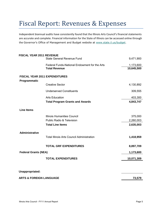# Fiscal Report: Revenues & Expenses

Independent biannual audits have consistently found that the Illinois Arts Council's financial statements are accurate and complete. Financial information for the State of Illinois can be accessed online through the Governor's Office of Management and Budget website at [www.state.il.us/budget.](http://www.state.il.us/budget)

| <b>FISCAL YEAR 2011 REVENUE</b>    |                                                   |            |
|------------------------------------|---------------------------------------------------|------------|
|                                    | <b>State General Revenue Fund</b>                 | 9,471,900  |
|                                    | Federal Funds-National Endowment for the Arts     | 1,173,600  |
|                                    | <b>Total Revenue</b>                              | 10,645,500 |
| Programmatic                       | <b>FISCAL YEAR 2011 EXPENDITURES</b>              |            |
|                                    | <b>Creative Sector</b>                            | 4,130,892  |
|                                    | <b>Underserved Constituents</b>                   | 309,555    |
|                                    | <b>Arts Education</b>                             | 403,300    |
|                                    | <b>Total Program Grants and Awards</b>            | 4,843,747  |
| <b>Line Items</b>                  |                                                   |            |
|                                    | <b>Illinois Humanities Council</b>                | 375,000    |
|                                    | <b>Public Radio &amp; Television</b>              | 2,260,003  |
|                                    | <b>Total Line Items</b>                           | 2,635,003  |
| <b>Administrative</b>              |                                                   |            |
|                                    | <b>Total Illinois Arts Council Administration</b> | 1,418,959  |
|                                    | <b>TOTAL GRF EXPENDITURES</b>                     | 8,897,709  |
| <b>Federal Grants (NEA)</b>        |                                                   | 1,173,600  |
|                                    | <b>TOTAL EXPENDITURES</b>                         | 10,071,309 |
| Unappropriated:                    |                                                   |            |
| <b>ARTS &amp; FOREIGN LANGUAGE</b> |                                                   | 73,579     |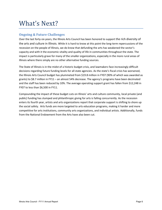# What's Next?

#### **Ongoing & Future Challenges**

Over the last forty-six years, the Illinois Arts Council has been honored to support the rich diversity of the arts and culture in Illinois. While it is hard to know at this point the long-term repercussions of the recession on the people of Illinois, we do know that defunding the arts has weakened the sector's capacity and with it the economic vitality and quality of life in communities throughout the state. The impact is particularly grave for many of the smaller organizations, especially in the more rural areas of Illinois where there simply are no other alternative funding sources.

The State of Illinois is in the midst of a historic budget crisis, and lawmakers face increasingly difficult decisions regarding future funding levels for all state agencies. As the state's fiscal crisis has worsened, the Illinois Arts Council budget has plummeted from \$19.8 million in FY07 (90% of which was awarded as grants) to \$8.7 million in FY11 – an almost 54% decrease. The agency's programs have been decimated and the staff has been reduced by 10%. The average operating support grant has fallen from \$12,248 in FY07 to less than \$6,500 in FY11.

Compounding the impact of these budget cuts on Illinois' arts and culture community, local private (and public) funding has slumped and philanthropic giving for arts is falling concurrently. As the recession enters its fourth year, artists and arts organizations report that corporate support is shifting to shore up the social safety. Arts funds are more targeted to arts education programs, making it harder and more competitive for arts institutions, community arts organizations, and individual artists. Additionally, funds from the National Endowment from the Arts have also been cut.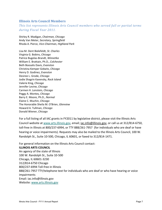#### **Illinois Arts Council Members**

*This list represents Illinois Arts Council members who served full or partial terms during Fiscal Year 2011.* 

Shirley R. Madigan, *Chairman, Chicago* Andy Van Meter, *Secretary, Springfield* Rhoda A. Pierce, *Vice-Chairman, Highland Park*

Lisa M. Dent Bielefeldt, *St. Charles* Virginia G. Bobins, *Chicago* Patrice Bugelas-Brandt, *Winnetka* William E. Brattain, Ph.D., *Colchester*  Beth Boosalis Davis, *Evanston* Christina Kemper Gidwitz, *Chicago* Henry D. Godinez, *Evanston* Desiree L. Grode, *Chicago* Jodie Shagrin Kavensky, *Rock Island* Valerie King, *Chicago* Jennifer Levine, *Chicago*  Carmen H. Lonstein*, Chicago* Peggy A. Montes*, Chicago* Barry E. Moore, Ph.D., *Normal* Elaine C. Muchin, *Chicago* The Honorable Sheila M. O'Brien, *Glenview* Howard A. Tullman, *Chicago* Donald Wiener, *Chicago*

For a full listing of all IAC grants in FY2011 by legislative district, please visit the Illinois Arts Council website at [www.arts.illinois.gov,](http://www.arts.illinois.gov/) email; [iac.info@illinois.gov,](mailto:iac.info@illinois.gov) or call us at 312/814-6750, toll-free in Illinois at 800/237-6994, or TTY 888/261-7957 (for individuals who are deaf or have hearing or voice impairments). Requests may also be mailed to the Illinois Arts Council, 100 W. Randolph St., Suite 10-500, Chicago, IL 60601, or faxed to 312/814-1471.

For general information on the Illinois Arts Council contact: **ILLINOIS ARTS COUNCIL**  An agency of the state of Illinois 100 W. Randolph St., Suite 10-500 Chicago, IL 60601-3230 312/814-6750 Chicago 800/237-6994 Toll-free in Illinois 888/261-7957 TTY/telephone text for individuals who are deaf or who have hearing or voice impairments Email: iac.info@illinois.gov Website: [www.arts.illinois.gov](http://www.arts.illinois.gov/)